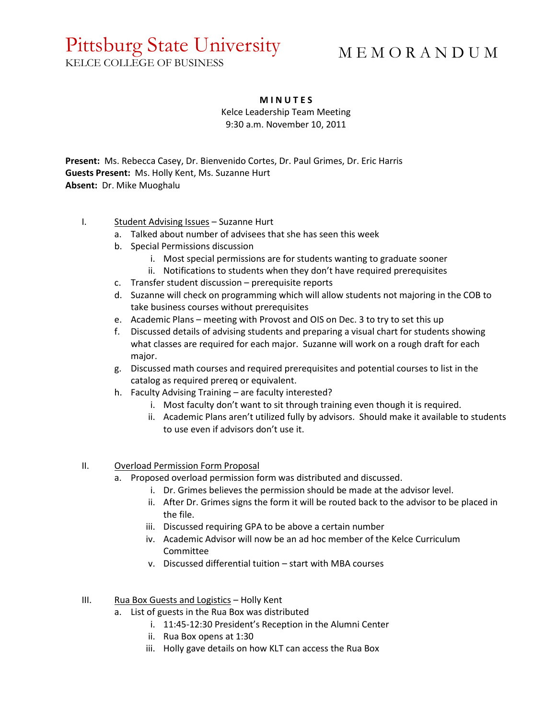# Pittsburg State University

# M E M O R A N D U M

KELCE COLLEGE OF BUSINESS

### **M I N U T E S**

Kelce Leadership Team Meeting

9:30 a.m. November 10, 2011

**Present:** Ms. Rebecca Casey, Dr. Bienvenido Cortes, Dr. Paul Grimes, Dr. Eric Harris **Guests Present:** Ms. Holly Kent, Ms. Suzanne Hurt **Absent:** Dr. Mike Muoghalu

## I. Student Advising Issues – Suzanne Hurt

- a. Talked about number of advisees that she has seen this week
- b. Special Permissions discussion
	- i. Most special permissions are for students wanting to graduate sooner
	- ii. Notifications to students when they don't have required prerequisites
- c. Transfer student discussion prerequisite reports
- d. Suzanne will check on programming which will allow students not majoring in the COB to take business courses without prerequisites
- e. Academic Plans meeting with Provost and OIS on Dec. 3 to try to set this up
- f. Discussed details of advising students and preparing a visual chart for students showing what classes are required for each major. Suzanne will work on a rough draft for each major.
- g. Discussed math courses and required prerequisites and potential courses to list in the catalog as required prereq or equivalent.
- h. Faculty Advising Training are faculty interested?
	- i. Most faculty don't want to sit through training even though it is required.
	- ii. Academic Plans aren't utilized fully by advisors. Should make it available to students to use even if advisors don't use it.

#### II. Overload Permission Form Proposal

- a. Proposed overload permission form was distributed and discussed.
	- i. Dr. Grimes believes the permission should be made at the advisor level.
	- ii. After Dr. Grimes signs the form it will be routed back to the advisor to be placed in the file.
	- iii. Discussed requiring GPA to be above a certain number
	- iv. Academic Advisor will now be an ad hoc member of the Kelce Curriculum Committee
	- v. Discussed differential tuition start with MBA courses

#### III. Rua Box Guests and Logistics - Holly Kent

- a. List of guests in the Rua Box was distributed
	- i. 11:45-12:30 President's Reception in the Alumni Center
	- ii. Rua Box opens at 1:30
	- iii. Holly gave details on how KLT can access the Rua Box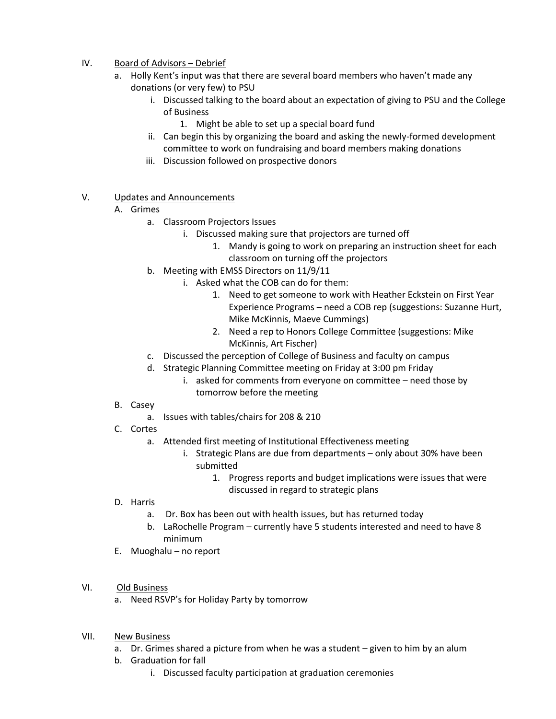## IV. Board of Advisors – Debrief

- a. Holly Kent's input was that there are several board members who haven't made any donations (or very few) to PSU
	- i. Discussed talking to the board about an expectation of giving to PSU and the College of Business
		- 1. Might be able to set up a special board fund
	- ii. Can begin this by organizing the board and asking the newly-formed development committee to work on fundraising and board members making donations
	- iii. Discussion followed on prospective donors
- V. Updates and Announcements
	- A. Grimes
		- a. Classroom Projectors Issues
			- i. Discussed making sure that projectors are turned off
				- 1. Mandy is going to work on preparing an instruction sheet for each classroom on turning off the projectors
		- b. Meeting with EMSS Directors on 11/9/11
			- i. Asked what the COB can do for them:
				- 1. Need to get someone to work with Heather Eckstein on First Year Experience Programs – need a COB rep (suggestions: Suzanne Hurt, Mike McKinnis, Maeve Cummings)
				- 2. Need a rep to Honors College Committee (suggestions: Mike McKinnis, Art Fischer)
		- c. Discussed the perception of College of Business and faculty on campus
		- d. Strategic Planning Committee meeting on Friday at 3:00 pm Friday
			- i. asked for comments from everyone on committee need those by tomorrow before the meeting
	- B. Casey
		- a. Issues with tables/chairs for 208 & 210
	- C. Cortes
		- a. Attended first meeting of Institutional Effectiveness meeting
			- i. Strategic Plans are due from departments only about 30% have been submitted
				- 1. Progress reports and budget implications were issues that were discussed in regard to strategic plans
	- D. Harris
		- a. Dr. Box has been out with health issues, but has returned today
		- b. LaRochelle Program currently have 5 students interested and need to have 8 minimum
	- E. Muoghalu no report
- VI. Old Business
	- a. Need RSVP's for Holiday Party by tomorrow
- VII. New Business
	- a. Dr. Grimes shared a picture from when he was a student given to him by an alum
	- b. Graduation for fall
		- i. Discussed faculty participation at graduation ceremonies